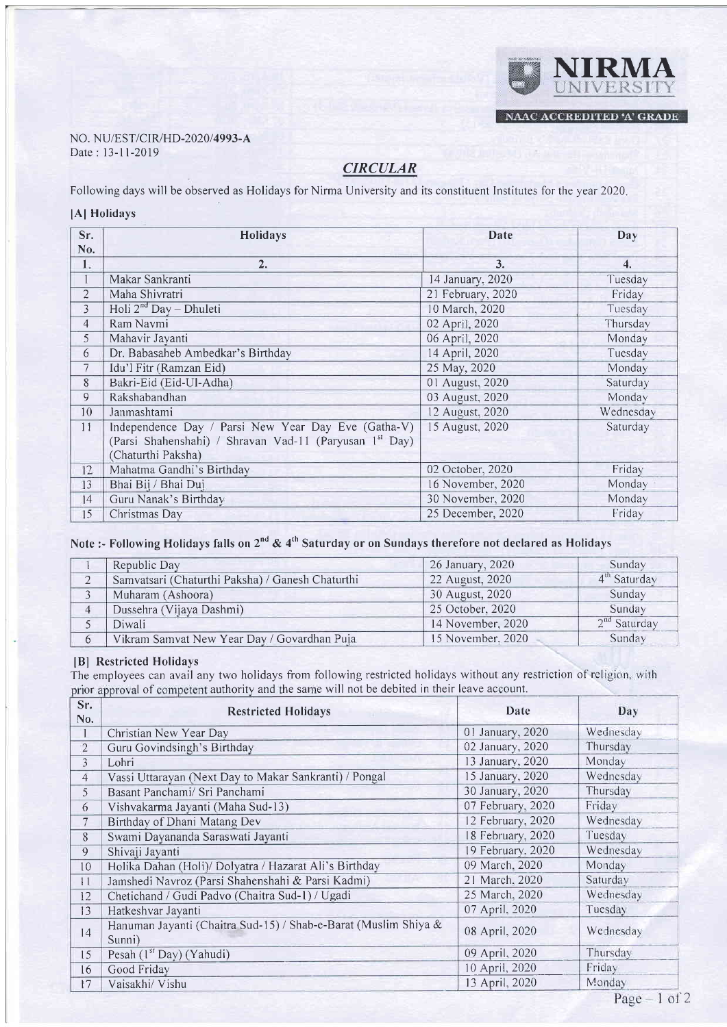### NO. NU/EST/CIR/HD-2020/4993-A Date : 13-11-2019

# **CIRCULAR**

Following days will be observed as Holidays for Nirma University and its constituent Institutes for the year 2020

#### lAl Holidays

| Sr.            | Holidays                                                            | Date              | Day              |
|----------------|---------------------------------------------------------------------|-------------------|------------------|
| No.            |                                                                     |                   |                  |
| 1.             | 2.                                                                  | 3.                | $\overline{4}$ . |
|                | Makar Sankranti                                                     | 14 January, 2020  | Tuesday          |
| $\overline{2}$ | Maha Shivratri                                                      | 21 February, 2020 | Friday           |
| 3              | Holi $2^{nd}$ Day - Dhuleti                                         | 10 March, 2020    | Tuesday          |
| 4              | Ram Navmi                                                           | 02 April, 2020    | Thursday         |
| 5              | Mahavir Jayanti                                                     | 06 April, 2020    | Monday           |
| 6              | Dr. Babasaheb Ambedkar's Birthday                                   | 14 April, 2020    | Tuesday          |
| 7              | Idu'l Fitr (Ramzan Eid)                                             | 25 May, 2020      | Monday           |
| 8              | Bakri-Eid (Eid-Ul-Adha)                                             | 01 August, 2020   | Saturday         |
| 9              | Rakshabandhan                                                       | 03 August, 2020   | Monday           |
| 10             | Janmashtami                                                         | 12 August, 2020   | Wednesday        |
| 11             | Independence Day / Parsi New Year Day Eve (Gatha-V)                 | 15 August, 2020   | Saturday         |
|                | (Parsi Shahenshahi) / Shravan Vad-11 (Paryusan 1 <sup>st</sup> Day) |                   |                  |
|                | (Chaturthi Paksha)                                                  |                   |                  |
| 12             | Mahatma Gandhi's Birthday                                           | 02 October, 2020  | Friday           |
| 13             | Bhai Bij / Bhai Duj                                                 | 16 November, 2020 | Monday           |
| 14             | Guru Nanak's Birthday                                               | 30 November, 2020 | Monday           |
| 15             | Christmas Day                                                       | 25 December, 2020 | Friday           |

# Note :- Following Holidays falls on  $2^{nd}$  & 4<sup>th</sup> Saturday or on Sundays therefore not declared as Holidays

| Republic Day                                     | 26 January, 2020  | Sunday                   |
|--------------------------------------------------|-------------------|--------------------------|
| Samvatsari (Chaturthi Paksha) / Ganesh Chaturthi | 22 August, 2020   | 4 <sup>th</sup> Saturday |
| Muharam (Ashoora)                                | 30 August, 2020   | Sunday                   |
| Dussehra (Vijaya Dashmi)                         | 25 October, 2020  | Sunday                   |
| Diwali                                           | 14 November, 2020 | $2nd$ Saturday           |
| Vikram Samvat New Year Day / Govardhan Puja      | 15 November, 2020 | Sunday                   |

## lBl Restricted Holidays

or approval of competent authority and the same will not be debited in their leave account. The employees can avail any two holidays from following restricted holidays without any restriction of re

| Sr.<br>No.     | <b>Restricted Holidays</b>                                                | Date              | Day       |
|----------------|---------------------------------------------------------------------------|-------------------|-----------|
|                | Christian New Year Day                                                    | 01 January, 2020  | Wednesday |
| $\overline{2}$ | Guru Govindsingh's Birthday                                               | 02 January, 2020  | Thursday  |
| 3              | Lohri                                                                     | 13 January, 2020  | Monday    |
| $\overline{4}$ | Vassi Uttarayan (Next Day to Makar Sankranti) / Pongal                    | 15 January, 2020  | Wednesday |
| 5              | Basant Panchami/ Sri Panchami                                             | 30 January, 2020  | Thursday  |
| 6              | Vishvakarma Jayanti (Maha Sud-13)                                         | 07 February, 2020 | Friday    |
| $\tau$         | Birthday of Dhani Matang Dev                                              | 12 February, 2020 | Wednesday |
| 8              | Swami Dayananda Saraswati Jayanti                                         | 18 February, 2020 | Tuesday   |
| 9              | Shivaji Jayanti                                                           | 19 February, 2020 | Wednesday |
| 10             | Holika Dahan (Holi)/ Dolyatra / Hazarat Ali's Birthday                    | 09 March, 2020    | Monday    |
| 11             | Jamshedi Navroz (Parsi Shahenshahi & Parsi Kadmi)                         | 21 March, 2020    | Saturday  |
| 12             | Chetichand / Gudi Padvo (Chaitra Sud-1) / Ugadi                           | 25 March, 2020    | Wednesday |
| 13             | Hatkeshvar Jayanti                                                        | 07 April, 2020    | Tuesday   |
| 4              | Hanuman Jayanti (Chaitra Sud-15) / Shab-e-Barat (Muslim Shiya &<br>Sunni) | 08 April, 2020    | Wednesday |
| 15             | Pesah $(lst Day)$ (Yahudi)                                                | 09 April, 2020    | Thursday  |
| 16             | Good Friday                                                               | 10 April, 2020    | Friday    |
| 17             | Vaisakhi/ Vishu                                                           | 13 April, 2020    | Monday    |

NIRMA

NAAC ACCREDITED 'A' GRADE